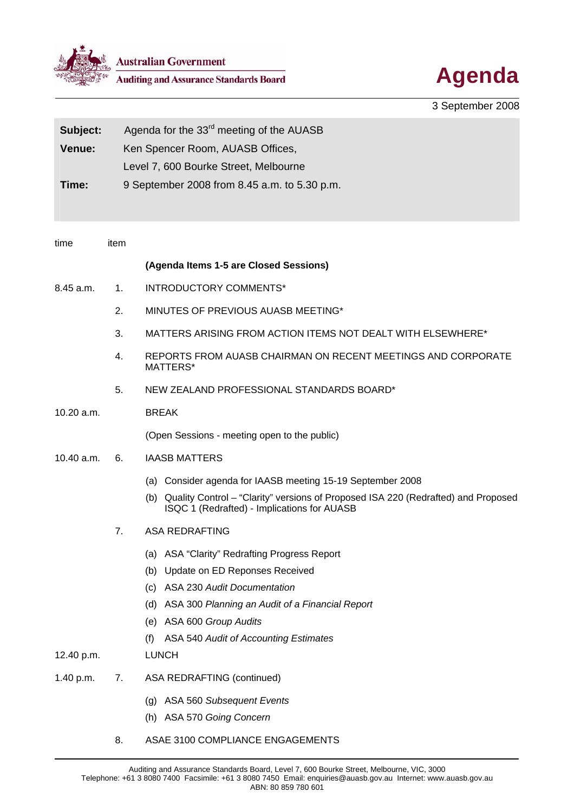

**Australian Government**<br>Auditing and Assurance Standards Board<br> **Agenda** 



3 September 2008

| Subject:   | Agenda for the 33 <sup>rd</sup> meeting of the AUASB |                                                                                                                                         |  |
|------------|------------------------------------------------------|-----------------------------------------------------------------------------------------------------------------------------------------|--|
| Venue:     |                                                      | Ken Spencer Room, AUASB Offices,                                                                                                        |  |
|            | Level 7, 600 Bourke Street, Melbourne                |                                                                                                                                         |  |
| Time:      | 9 September 2008 from 8.45 a.m. to 5.30 p.m.         |                                                                                                                                         |  |
|            |                                                      |                                                                                                                                         |  |
|            |                                                      |                                                                                                                                         |  |
| time       | item                                                 |                                                                                                                                         |  |
|            |                                                      | (Agenda Items 1-5 are Closed Sessions)                                                                                                  |  |
| 8.45 a.m.  | 1.                                                   | <b>INTRODUCTORY COMMENTS*</b>                                                                                                           |  |
|            | 2.                                                   | MINUTES OF PREVIOUS AUASB MEETING*                                                                                                      |  |
|            | 3.                                                   | MATTERS ARISING FROM ACTION ITEMS NOT DEALT WITH ELSEWHERE*                                                                             |  |
|            | 4.                                                   | REPORTS FROM AUASB CHAIRMAN ON RECENT MEETINGS AND CORPORATE<br>MATTERS*                                                                |  |
|            | 5.                                                   | NEW ZEALAND PROFESSIONAL STANDARDS BOARD*                                                                                               |  |
| 10.20 a.m. |                                                      | <b>BREAK</b>                                                                                                                            |  |
|            |                                                      | (Open Sessions - meeting open to the public)                                                                                            |  |
| 10.40 a.m. | 6.                                                   | <b>IAASB MATTERS</b>                                                                                                                    |  |
|            |                                                      | (a) Consider agenda for IAASB meeting 15-19 September 2008                                                                              |  |
|            |                                                      | Quality Control - "Clarity" versions of Proposed ISA 220 (Redrafted) and Proposed<br>(b)<br>ISQC 1 (Redrafted) - Implications for AUASB |  |
|            | 7.                                                   | <b>ASA REDRAFTING</b>                                                                                                                   |  |
|            |                                                      | (a) ASA "Clarity" Redrafting Progress Report                                                                                            |  |
|            |                                                      | Update on ED Reponses Received<br>(b)                                                                                                   |  |
|            |                                                      | <b>ASA 230 Audit Documentation</b><br>(c)                                                                                               |  |
|            |                                                      | (d) ASA 300 Planning an Audit of a Financial Report                                                                                     |  |
|            |                                                      | (e) ASA 600 Group Audits                                                                                                                |  |
|            |                                                      | ASA 540 Audit of Accounting Estimates<br>(t)                                                                                            |  |
| 12.40 p.m. |                                                      | <b>LUNCH</b>                                                                                                                            |  |
| 1.40 p.m.  | 7.                                                   | <b>ASA REDRAFTING (continued)</b>                                                                                                       |  |
|            |                                                      | (g) ASA 560 Subsequent Events                                                                                                           |  |
|            |                                                      | (h) ASA 570 Going Concern                                                                                                               |  |
|            | 8.                                                   | ASAE 3100 COMPLIANCE ENGAGEMENTS                                                                                                        |  |